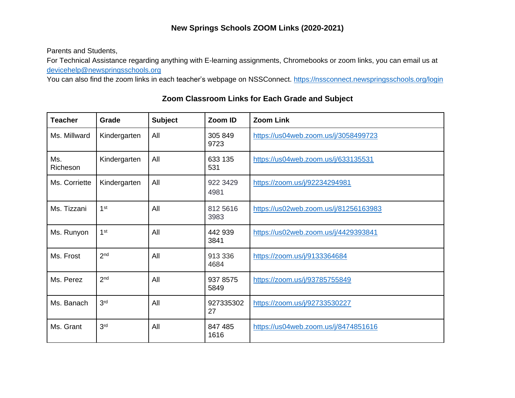## **New Springs Schools ZOOM Links (2020-2021)**

Parents and Students,

For Technical Assistance regarding anything with E-learning assignments, Chromebooks or zoom links, you can email us at [devicehelp@newspringsschools.org](mailto:devicehelp@newspringsschools.org)

You can also find the zoom links in each teacher's webpage on NSSConnect.<https://nssconnect.newspringsschools.org/login>

| <b>Teacher</b>  | Grade           | <b>Subject</b> | Zoom ID          | <b>Zoom Link</b>                      |
|-----------------|-----------------|----------------|------------------|---------------------------------------|
| Ms. Millward    | Kindergarten    | All            | 305 849<br>9723  | https://us04web.zoom.us/j/3058499723  |
| Ms.<br>Richeson | Kindergarten    | All            | 633 135<br>531   | https://us04web.zoom.us/j/633135531   |
| Ms. Corriette   | Kindergarten    | All            | 922 3429<br>4981 | https://zoom.us/j/92234294981         |
| Ms. Tizzani     | 1 <sup>st</sup> | All            | 812 5616<br>3983 | https://us02web.zoom.us/j/81256163983 |
| Ms. Runyon      | 1 <sup>st</sup> | All            | 442 939<br>3841  | https://us02web.zoom.us/j/4429393841  |
| Ms. Frost       | 2 <sub>nd</sub> | All            | 913 336<br>4684  | https://zoom.us/j/9133364684          |
| Ms. Perez       | 2 <sup>nd</sup> | All            | 937 8575<br>5849 | https://zoom.us/j/93785755849         |
| Ms. Banach      | 3 <sup>rd</sup> | All            | 927335302<br>27  | https://zoom.us/j/92733530227         |
| Ms. Grant       | 3 <sup>rd</sup> | All            | 847 485<br>1616  | https://us04web.zoom.us/j/8474851616  |

## **Zoom Classroom Links for Each Grade and Subject**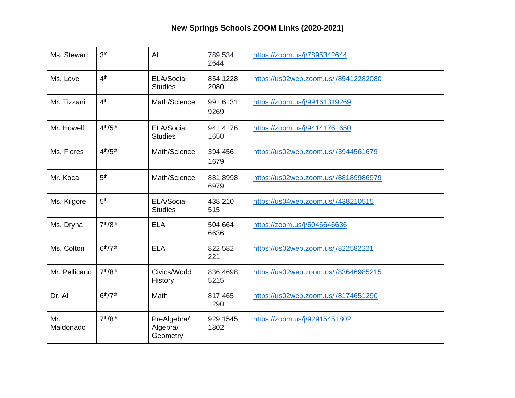## **New Springs Schools ZOOM Links (2020-2021)**

| Ms. Stewart      | 3 <sup>rd</sup>                  | All                                 | 789 534<br>2644  | https://zoom.us/j/7895342644          |
|------------------|----------------------------------|-------------------------------------|------------------|---------------------------------------|
| Ms. Love         | 4 <sup>th</sup>                  | ELA/Social<br><b>Studies</b>        | 854 1228<br>2080 | https://us02web.zoom.us/j/85412282080 |
| Mr. Tizzani      | 4 <sup>th</sup>                  | Math/Science                        | 991 6131<br>9269 | https://zoom.us/j/99161319269         |
| Mr. Howell       | 4 <sup>th</sup> /5 <sup>th</sup> | ELA/Social<br><b>Studies</b>        | 941 4176<br>1650 | https://zoom.us/j/94141761650         |
| Ms. Flores       | 4 <sup>th</sup> /5 <sup>th</sup> | Math/Science                        | 394 456<br>1679  | https://us02web.zoom.us/j/3944561679  |
| Mr. Koca         | 5 <sup>th</sup>                  | Math/Science                        | 881 8998<br>6979 | https://us02web.zoom.us/j/88189986979 |
| Ms. Kilgore      | 5 <sup>th</sup>                  | ELA/Social<br><b>Studies</b>        | 438 210<br>515   | https://us04web.zoom.us/j/438210515   |
| Ms. Dryna        | 7th/8th                          | <b>ELA</b>                          | 504 664<br>6636  | https://zoom.us/j/5046646636          |
| Ms. Colton       | 6 <sup>th</sup> /7 <sup>th</sup> | <b>ELA</b>                          | 822 582<br>221   | https://us02web.zoom.us/j/822582221   |
| Mr. Pellicano    | 7 <sup>th</sup> /8 <sup>th</sup> | Civics/World<br>History             | 836 4698<br>5215 | https://us02web.zoom.us/j/83646985215 |
| Dr. Ali          | 6 <sup>th</sup> /7 <sup>th</sup> | Math                                | 817 465<br>1290  | https://us02web.zoom.us/j/8174651290  |
| Mr.<br>Maldonado | 7 <sup>th</sup> /8 <sup>th</sup> | PreAlgebra/<br>Algebra/<br>Geometry | 929 1545<br>1802 | https://zoom.us/j/92915451802         |